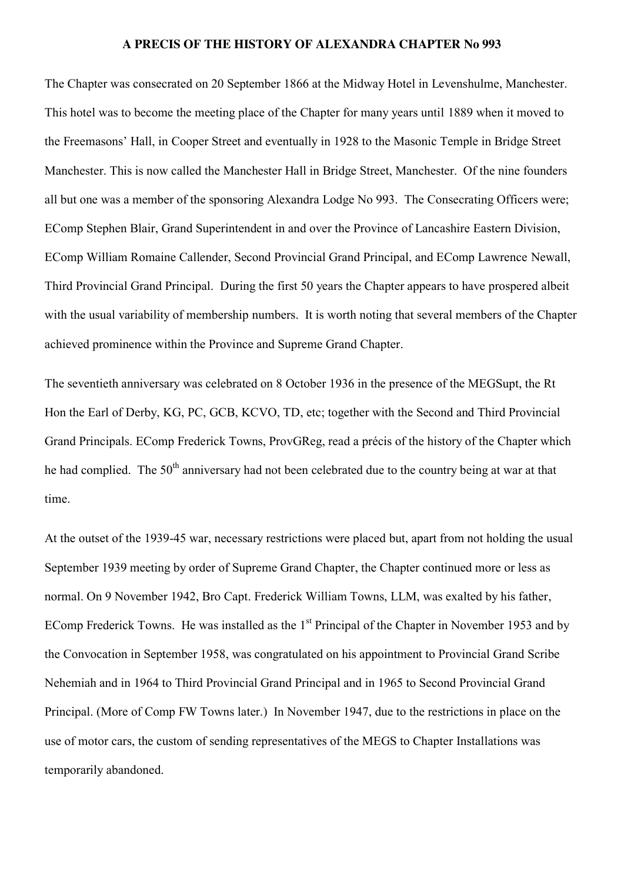## **A PRECIS OF THE HISTORY OF ALEXANDRA CHAPTER No 993**

The Chapter was consecrated on 20 September 1866 at the Midway Hotel in Levenshulme, Manchester. This hotel was to become the meeting place of the Chapter for many years until 1889 when it moved to the Freemasons' Hall, in Cooper Street and eventually in 1928 to the Masonic Temple in Bridge Street Manchester. This is now called the Manchester Hall in Bridge Street, Manchester. Of the nine founders all but one was a member of the sponsoring Alexandra Lodge No 993. The Consecrating Officers were; EComp Stephen Blair, Grand Superintendent in and over the Province of Lancashire Eastern Division, EComp William Romaine Callender, Second Provincial Grand Principal, and EComp Lawrence Newall, Third Provincial Grand Principal. During the first 50 years the Chapter appears to have prospered albeit with the usual variability of membership numbers. It is worth noting that several members of the Chapter achieved prominence within the Province and Supreme Grand Chapter.

The seventieth anniversary was celebrated on 8 October 1936 in the presence of the MEGSupt, the Rt Hon the Earl of Derby, KG, PC, GCB, KCVO, TD, etc; together with the Second and Third Provincial Grand Principals. EComp Frederick Towns, ProvGReg, read a précis of the history of the Chapter which he had complied. The 50<sup>th</sup> anniversary had not been celebrated due to the country being at war at that time.

At the outset of the 1939-45 war, necessary restrictions were placed but, apart from not holding the usual September 1939 meeting by order of Supreme Grand Chapter, the Chapter continued more or less as normal. On 9 November 1942, Bro Capt. Frederick William Towns, LLM, was exalted by his father, EComp Frederick Towns. He was installed as the  $1<sup>st</sup>$  Principal of the Chapter in November 1953 and by the Convocation in September 1958, was congratulated on his appointment to Provincial Grand Scribe Nehemiah and in 1964 to Third Provincial Grand Principal and in 1965 to Second Provincial Grand Principal. (More of Comp FW Towns later.) In November 1947, due to the restrictions in place on the use of motor cars, the custom of sending representatives of the MEGS to Chapter Installations was temporarily abandoned.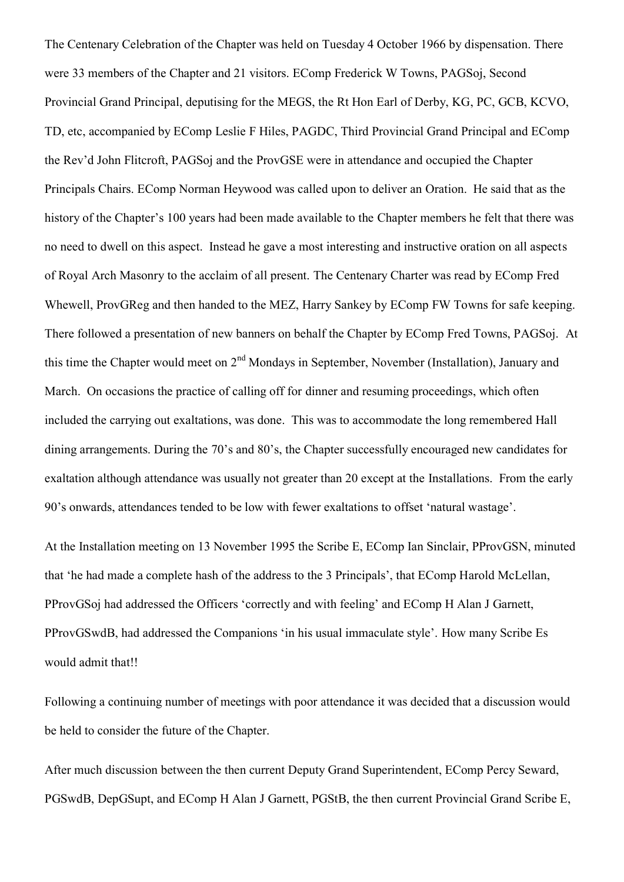The Centenary Celebration of the Chapter was held on Tuesday 4 October 1966 by dispensation. There were 33 members of the Chapter and 21 visitors. EComp Frederick W Towns, PAGSoj, Second Provincial Grand Principal, deputising for the MEGS, the Rt Hon Earl of Derby, KG, PC, GCB, KCVO, TD, etc, accompanied by EComp Leslie F Hiles, PAGDC, Third Provincial Grand Principal and EComp the Rev'd John Flitcroft, PAGSoj and the ProvGSE were in attendance and occupied the Chapter Principals Chairs. EComp Norman Heywood was called upon to deliver an Oration. He said that as the history of the Chapter's 100 years had been made available to the Chapter members he felt that there was no need to dwell on this aspect. Instead he gave a most interesting and instructive oration on all aspects of Royal Arch Masonry to the acclaim of all present. The Centenary Charter was read by EComp Fred Whewell, ProvGReg and then handed to the MEZ, Harry Sankey by EComp FW Towns for safe keeping. There followed a presentation of new banners on behalf the Chapter by EComp Fred Towns, PAGSoj. At this time the Chapter would meet on 2<sup>nd</sup> Mondays in September, November (Installation), January and March. On occasions the practice of calling off for dinner and resuming proceedings, which often included the carrying out exaltations, was done. This was to accommodate the long remembered Hall dining arrangements. During the 70's and 80's, the Chapter successfully encouraged new candidates for exaltation although attendance was usually not greater than 20 except at the Installations. From the early 90's onwards, attendances tended to be low with fewer exaltations to offset 'natural wastage'.

At the Installation meeting on 13 November 1995 the Scribe E, EComp Ian Sinclair, PProvGSN, minuted that 'he had made a complete hash of the address to the 3 Principals', that EComp Harold McLellan, PProvGSoj had addressed the Officers 'correctly and with feeling' and EComp H Alan J Garnett, PProvGSwdB, had addressed the Companions 'in his usual immaculate style'. How many Scribe Es would admit that!!

Following a continuing number of meetings with poor attendance it was decided that a discussion would be held to consider the future of the Chapter.

After much discussion between the then current Deputy Grand Superintendent, EComp Percy Seward, PGSwdB, DepGSupt, and EComp H Alan J Garnett, PGStB, the then current Provincial Grand Scribe E,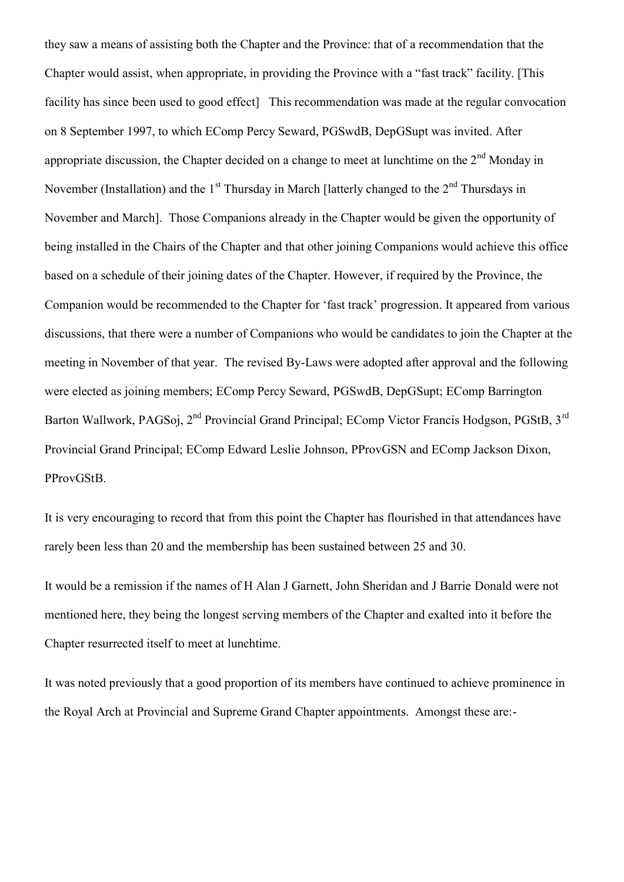they saw a means of assisting both the Chapter and the Province: that of a recommendation that the Chapter would assist, when appropriate, in providing the Province with a "fast track" facility. [This facility has since been used to good effect. This recommendation was made at the regular convocation on 8 September 1997, to which EComp Percy Seward, PGSwdB, DepGSupt was invited. After appropriate discussion, the Chapter decided on a change to meet at lunchtime on the  $2<sup>nd</sup>$  Monday in November (Installation) and the  $1<sup>st</sup>$  Thursday in March [latterly changed to the  $2<sup>nd</sup>$  Thursdays in November and March]. Those Companions already in the Chapter would be given the opportunity of being installed in the Chairs of the Chapter and that other joining Companions would achieve this office based on a schedule of their joining dates of the Chapter. However, if required by the Province, the Companion would be recommended to the Chapter for 'fast track' progression. It appeared from various discussions, that there were a number of Companions who would be candidates to join the Chapter at the meeting in November of that year. The revised By-Laws were adopted after approval and the following were elected as joining members; EComp Percy Seward, PGSwdB, DepGSupt; EComp Barrington Barton Wallwork, PAGSoj, 2<sup>nd</sup> Provincial Grand Principal; EComp Victor Francis Hodgson, PGStB, 3<sup>rd</sup> Provincial Grand Principal; EComp Edward Leslie Johnson, PProvGSN and EComp Jackson Dixon, PProvGStB.

It is very encouraging to record that from this point the Chapter has flourished in that attendances have rarely been less than 20 and the membership has been sustained between 25 and 30.

It would be a remission if the names of H Alan J Garnett, John Sheridan and J Barrie Donald were not mentioned here, they being the longest serving members of the Chapter and exalted into it before the Chapter resurrected itself to meet at lunchtime.

It was noted previously that a good proportion of its members have continued to achieve prominence in the Royal Arch at Provincial and Supreme Grand Chapter appointments. Amongst these are:-